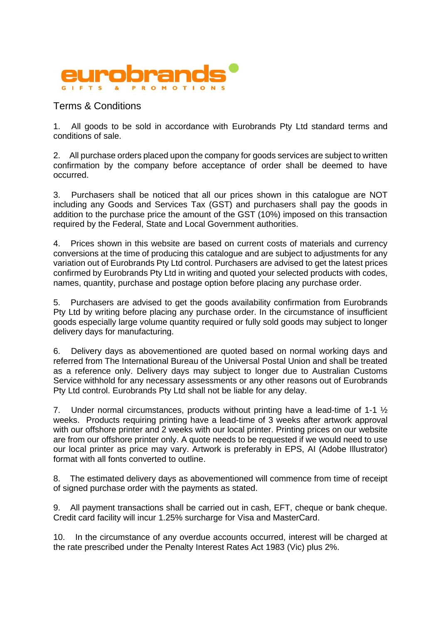

## Terms & Conditions

1. All goods to be sold in accordance with Eurobrands Pty Ltd standard terms and conditions of sale.

2. All purchase orders placed upon the company for goods services are subject to written confirmation by the company before acceptance of order shall be deemed to have occurred.

3. Purchasers shall be noticed that all our prices shown in this catalogue are NOT including any Goods and Services Tax (GST) and purchasers shall pay the goods in addition to the purchase price the amount of the GST (10%) imposed on this transaction required by the Federal, State and Local Government authorities.

4. Prices shown in this website are based on current costs of materials and currency conversions at the time of producing this catalogue and are subject to adjustments for any variation out of Eurobrands Pty Ltd control. Purchasers are advised to get the latest prices confirmed by Eurobrands Pty Ltd in writing and quoted your selected products with codes, names, quantity, purchase and postage option before placing any purchase order.

5. Purchasers are advised to get the goods availability confirmation from Eurobrands Pty Ltd by writing before placing any purchase order. In the circumstance of insufficient goods especially large volume quantity required or fully sold goods may subject to longer delivery days for manufacturing.

6. Delivery days as abovementioned are quoted based on normal working days and referred from The International Bureau of the Universal Postal Union and shall be treated as a reference only. Delivery days may subject to longer due to Australian Customs Service withhold for any necessary assessments or any other reasons out of Eurobrands Pty Ltd control. Eurobrands Pty Ltd shall not be liable for any delay.

7. Under normal circumstances, products without printing have a lead-time of 1-1 ½ weeks. Products requiring printing have a lead-time of 3 weeks after artwork approval with our offshore printer and 2 weeks with our local printer. Printing prices on our website are from our offshore printer only. A quote needs to be requested if we would need to use our local printer as price may vary. Artwork is preferably in EPS, AI (Adobe Illustrator) format with all fonts converted to outline.

8. The estimated delivery days as abovementioned will commence from time of receipt of signed purchase order with the payments as stated.

9. All payment transactions shall be carried out in cash, EFT, cheque or bank cheque. Credit card facility will incur 1.25% surcharge for Visa and MasterCard.

10. In the circumstance of any overdue accounts occurred, interest will be charged at the rate prescribed under the Penalty Interest Rates Act 1983 (Vic) plus 2%.